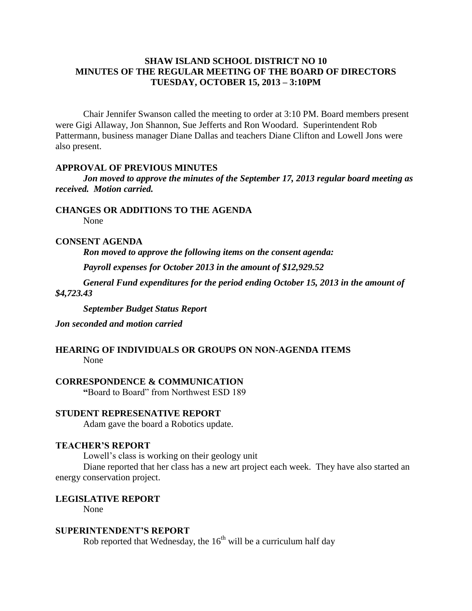# **SHAW ISLAND SCHOOL DISTRICT NO 10 MINUTES OF THE REGULAR MEETING OF THE BOARD OF DIRECTORS TUESDAY, OCTOBER 15, 2013 – 3:10PM**

Chair Jennifer Swanson called the meeting to order at 3:10 PM. Board members present were Gigi Allaway, Jon Shannon, Sue Jefferts and Ron Woodard. Superintendent Rob Pattermann, business manager Diane Dallas and teachers Diane Clifton and Lowell Jons were also present.

#### **APPROVAL OF PREVIOUS MINUTES**

*Jon moved to approve the minutes of the September 17, 2013 regular board meeting as received. Motion carried.*

**CHANGES OR ADDITIONS TO THE AGENDA**

None

# **CONSENT AGENDA**

*Ron moved to approve the following items on the consent agenda:*

*Payroll expenses for October 2013 in the amount of \$12,929.52*

*General Fund expenditures for the period ending October 15, 2013 in the amount of \$4,723.43*

*September Budget Status Report*

*Jon seconded and motion carried*

## **HEARING OF INDIVIDUALS OR GROUPS ON NON-AGENDA ITEMS** None

**CORRESPONDENCE & COMMUNICATION**

**"**Board to Board" from Northwest ESD 189

#### **STUDENT REPRESENATIVE REPORT**

Adam gave the board a Robotics update.

## **TEACHER'S REPORT**

Lowell's class is working on their geology unit

Diane reported that her class has a new art project each week. They have also started an energy conservation project.

#### **LEGISLATIVE REPORT**

None

## **SUPERINTENDENT'S REPORT**

Rob reported that Wednesday, the  $16<sup>th</sup>$  will be a curriculum half day